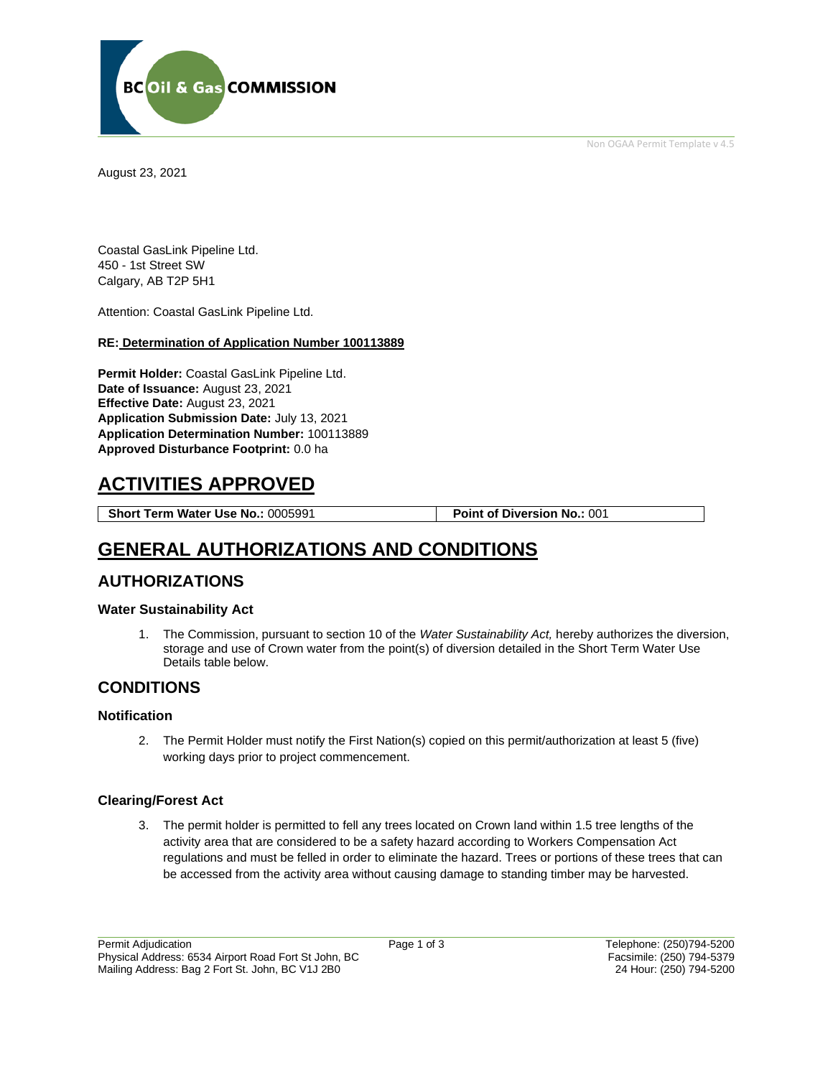

Non OGAA Permit Template v 4.5

August 23, 2021

Coastal GasLink Pipeline Ltd. 450 - 1st Street SW Calgary, AB T2P 5H1

Attention: Coastal GasLink Pipeline Ltd.

#### **RE: Determination of Application Number 100113889**

**Permit Holder:** Coastal GasLink Pipeline Ltd. **Date of Issuance:** August 23, 2021 **Effective Date:** August 23, 2021 **Application Submission Date:** July 13, 2021 **Application Determination Number:** 100113889 **Approved Disturbance Footprint:** 0.0 ha

# **ACTIVITIES APPROVED**

**Short Term Water Use No.:** 0005991 **Point of Diversion No.:** 001

# **GENERAL AUTHORIZATIONS AND CONDITIONS**

### **AUTHORIZATIONS**

#### **Water Sustainability Act**

1. The Commission, pursuant to section 10 of the *Water Sustainability Act,* hereby authorizes the diversion, storage and use of Crown water from the point(s) of diversion detailed in the Short Term Water Use Details table below.

### **CONDITIONS**

#### **Notification**

2. The Permit Holder must notify the First Nation(s) copied on this permit/authorization at least 5 (five) working days prior to project commencement.

#### **Clearing/Forest Act**

3. The permit holder is permitted to fell any trees located on Crown land within 1.5 tree lengths of the activity area that are considered to be a safety hazard according to Workers Compensation Act regulations and must be felled in order to eliminate the hazard. Trees or portions of these trees that can be accessed from the activity area without causing damage to standing timber may be harvested.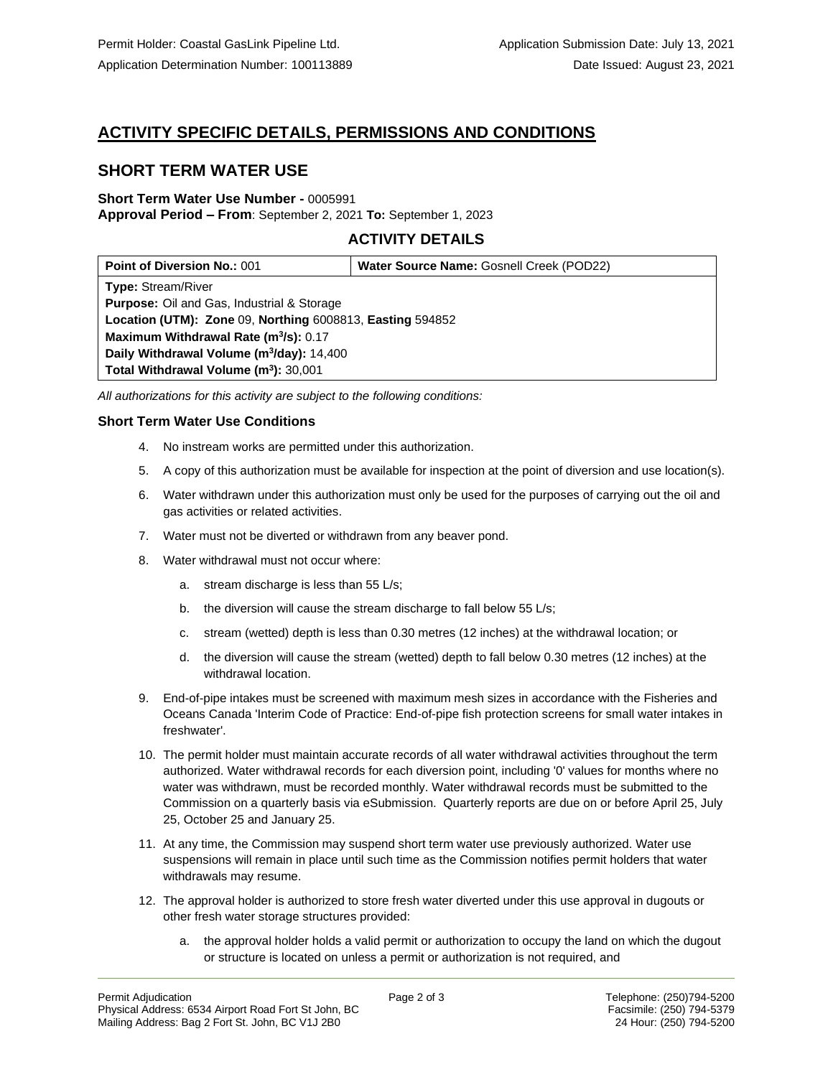# **ACTIVITY SPECIFIC DETAILS, PERMISSIONS AND CONDITIONS**

## **SHORT TERM WATER USE**

#### **Short Term Water Use Number -** 0005991 **Approval Period – From**: September 2, 2021 **To:** September 1, 2023

### **ACTIVITY DETAILS**

| <b>Point of Diversion No.: 001</b>                        | Water Source Name: Gosnell Creek (POD22) |
|-----------------------------------------------------------|------------------------------------------|
| <b>Type: Stream/River</b>                                 |                                          |
| <b>Purpose:</b> Oil and Gas, Industrial & Storage         |                                          |
| Location (UTM): Zone 09, Northing 6008813, Easting 594852 |                                          |
| Maximum Withdrawal Rate (m <sup>3</sup> /s): 0.17         |                                          |
| Daily Withdrawal Volume (m <sup>3</sup> /day): 14,400     |                                          |
| Total Withdrawal Volume (m <sup>3</sup> ): 30,001         |                                          |

*All authorizations for this activity are subject to the following conditions:*

#### **Short Term Water Use Conditions**

- 4. No instream works are permitted under this authorization.
- 5. A copy of this authorization must be available for inspection at the point of diversion and use location(s).
- 6. Water withdrawn under this authorization must only be used for the purposes of carrying out the oil and gas activities or related activities.
- 7. Water must not be diverted or withdrawn from any beaver pond.
- 8. Water withdrawal must not occur where:
	- a. stream discharge is less than 55 L/s;
	- b. the diversion will cause the stream discharge to fall below 55 L/s;
	- c. stream (wetted) depth is less than 0.30 metres (12 inches) at the withdrawal location; or
	- d. the diversion will cause the stream (wetted) depth to fall below 0.30 metres (12 inches) at the withdrawal location.
- 9. End-of-pipe intakes must be screened with maximum mesh sizes in accordance with the Fisheries and Oceans Canada 'Interim Code of Practice: End-of-pipe fish protection screens for small water intakes in freshwater'.
- 10. The permit holder must maintain accurate records of all water withdrawal activities throughout the term authorized. Water withdrawal records for each diversion point, including '0' values for months where no water was withdrawn, must be recorded monthly. Water withdrawal records must be submitted to the Commission on a quarterly basis via eSubmission. Quarterly reports are due on or before April 25, July 25, October 25 and January 25.
- 11. At any time, the Commission may suspend short term water use previously authorized. Water use suspensions will remain in place until such time as the Commission notifies permit holders that water withdrawals may resume.
- 12. The approval holder is authorized to store fresh water diverted under this use approval in dugouts or other fresh water storage structures provided:
	- a. the approval holder holds a valid permit or authorization to occupy the land on which the dugout or structure is located on unless a permit or authorization is not required, and